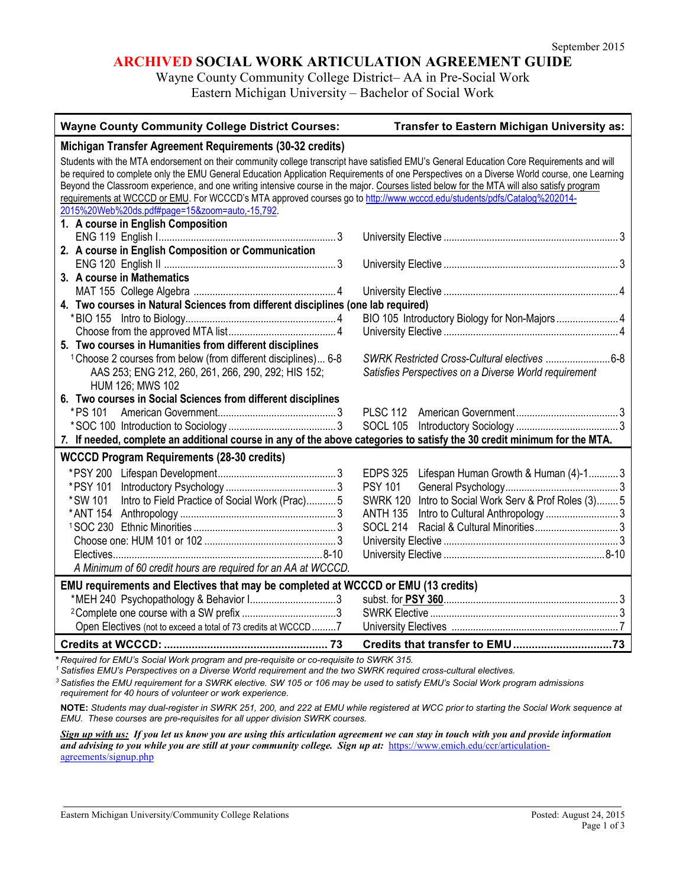## **ARCHIVED SOCIAL WORK ARTICULATION AGREEMENT GUIDE**

Wayne County Community College District– AA in Pre-Social Work Eastern Michigan University – Bachelor of Social Work

| <b>Wayne County Community College District Courses:</b>                                                                                     | Transfer to Eastern Michigan University as:                     |
|---------------------------------------------------------------------------------------------------------------------------------------------|-----------------------------------------------------------------|
| Michigan Transfer Agreement Requirements (30-32 credits)                                                                                    |                                                                 |
| Students with the MTA endorsement on their community college transcript have satisfied EMU's General Education Core Requirements and will   |                                                                 |
| be required to complete only the EMU General Education Application Requirements of one Perspectives on a Diverse World course, one Learning |                                                                 |
| Beyond the Classroom experience, and one writing intensive course in the major. Courses listed below for the MTA will also satisfy program  |                                                                 |
| requirements at WCCCD or EMU. For WCCCD's MTA approved courses go to http://www.wcccd.edu/students/pdfs/Catalog%202014-                     |                                                                 |
| 2015%20Web%20ds.pdf#page=15&zoom=auto,-15,792.                                                                                              |                                                                 |
| 1. A course in English Composition                                                                                                          |                                                                 |
|                                                                                                                                             |                                                                 |
| 2. A course in English Composition or Communication                                                                                         |                                                                 |
|                                                                                                                                             |                                                                 |
| 3. A course in Mathematics                                                                                                                  |                                                                 |
|                                                                                                                                             |                                                                 |
| 4. Two courses in Natural Sciences from different disciplines (one lab required)                                                            |                                                                 |
|                                                                                                                                             |                                                                 |
|                                                                                                                                             |                                                                 |
| 5. Two courses in Humanities from different disciplines                                                                                     |                                                                 |
| <sup>1</sup> Choose 2 courses from below (from different disciplines) 6-8                                                                   |                                                                 |
| AAS 253; ENG 212, 260, 261, 266, 290, 292; HIS 152;                                                                                         | Satisfies Perspectives on a Diverse World requirement           |
| HUM 126; MWS 102                                                                                                                            |                                                                 |
| 6. Two courses in Social Sciences from different disciplines                                                                                |                                                                 |
| *PS 101                                                                                                                                     | <b>PLSC 112</b>                                                 |
|                                                                                                                                             | <b>SOCL 105</b>                                                 |
| 7. If needed, complete an additional course in any of the above categories to satisfy the 30 credit minimum for the MTA.                    |                                                                 |
| <b>WCCCD Program Requirements (28-30 credits)</b>                                                                                           |                                                                 |
| *PSY 200                                                                                                                                    | <b>EDPS 325</b><br>Lifespan Human Growth & Human (4)-13         |
| *PSY 101                                                                                                                                    | <b>PSY 101</b>                                                  |
| Intro to Field Practice of Social Work (Prac)5<br>*SW 101                                                                                   | Intro to Social Work Serv & Prof Roles (3) 5<br><b>SWRK 120</b> |
|                                                                                                                                             | <b>ANTH 135</b>                                                 |
|                                                                                                                                             | <b>SOCL 214</b>                                                 |
|                                                                                                                                             |                                                                 |
|                                                                                                                                             |                                                                 |
| A Minimum of 60 credit hours are required for an AA at WCCCD.                                                                               |                                                                 |
| EMU requirements and Electives that may be completed at WCCCD or EMU (13 credits)                                                           |                                                                 |
| *MEH 240 Psychopathology & Behavior I3                                                                                                      |                                                                 |
|                                                                                                                                             |                                                                 |
| Open Electives (not to exceed a total of 73 credits at WCCCD7                                                                               |                                                                 |
|                                                                                                                                             |                                                                 |
| * Required for EMU's Social Work program and pre-requisite or co-requisite to SWRK 315.                                                     |                                                                 |

*<sup>1</sup> Satisfies EMU's Perspectives on a Diverse World requirement and the two SWRK required cross-cultural electives.*

*<sup>3</sup> Satisfies the EMU requirement for a SWRK elective. SW 105 or 106 may be used to satisfy EMU's Social Work program admissions requirement for 40 hours of volunteer or work experience.*

**NOTE:** *Students may dual-register in SWRK 251, 200, and 222 at EMU while registered at WCC prior to starting the Social Work sequence at EMU. These courses are pre-requisites for all upper division SWRK courses.* 

*Sign up with us: If you let us know you are using this articulation agreement we can stay in touch with you and provide information and advising to you while you are still at your community college. Sign up at:* [https://www.emich.edu/ccr/articulation](https://www.emich.edu/ccr/articulation-agreements/signup.php)[agreements/signup.php](https://www.emich.edu/ccr/articulation-agreements/signup.php)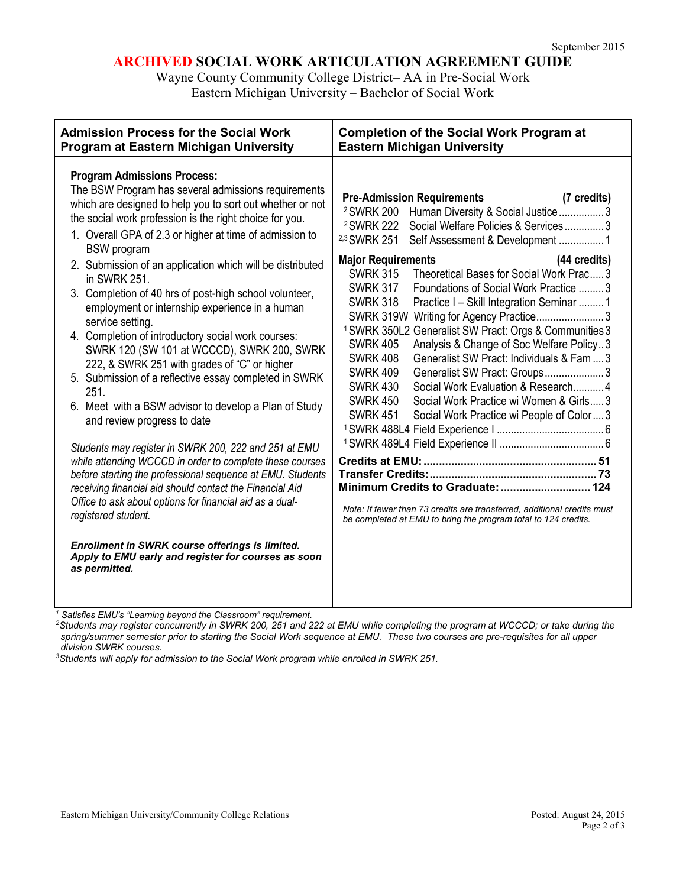# **ARCHIVED SOCIAL WORK ARTICULATION AGREEMENT GUIDE**

Wayne County Community College District– AA in Pre-Social Work Eastern Michigan University – Bachelor of Social Work

| <b>Admission Process for the Social Work</b>                                                                                                                                                                                                                                                                                                                                                                                                                                                                                                                                                                                                                                                                                                                                                                                                                                                                                                                                                                                                                                                                                                                                                                                                                                              | <b>Completion of the Social Work Program at</b>                                                                                                                                                                                                                                                                                                                                                                                                                                                                                                                                                                                                                                                                                                                                                                                                                                                                                                                                                                                                                                                                         |
|-------------------------------------------------------------------------------------------------------------------------------------------------------------------------------------------------------------------------------------------------------------------------------------------------------------------------------------------------------------------------------------------------------------------------------------------------------------------------------------------------------------------------------------------------------------------------------------------------------------------------------------------------------------------------------------------------------------------------------------------------------------------------------------------------------------------------------------------------------------------------------------------------------------------------------------------------------------------------------------------------------------------------------------------------------------------------------------------------------------------------------------------------------------------------------------------------------------------------------------------------------------------------------------------|-------------------------------------------------------------------------------------------------------------------------------------------------------------------------------------------------------------------------------------------------------------------------------------------------------------------------------------------------------------------------------------------------------------------------------------------------------------------------------------------------------------------------------------------------------------------------------------------------------------------------------------------------------------------------------------------------------------------------------------------------------------------------------------------------------------------------------------------------------------------------------------------------------------------------------------------------------------------------------------------------------------------------------------------------------------------------------------------------------------------------|
| <b>Program at Eastern Michigan University</b>                                                                                                                                                                                                                                                                                                                                                                                                                                                                                                                                                                                                                                                                                                                                                                                                                                                                                                                                                                                                                                                                                                                                                                                                                                             | <b>Eastern Michigan University</b>                                                                                                                                                                                                                                                                                                                                                                                                                                                                                                                                                                                                                                                                                                                                                                                                                                                                                                                                                                                                                                                                                      |
| <b>Program Admissions Process:</b><br>The BSW Program has several admissions requirements<br>which are designed to help you to sort out whether or not<br>the social work profession is the right choice for you.<br>1. Overall GPA of 2.3 or higher at time of admission to<br><b>BSW</b> program<br>2. Submission of an application which will be distributed<br>in SWRK 251.<br>3. Completion of 40 hrs of post-high school volunteer,<br>employment or internship experience in a human<br>service setting.<br>4. Completion of introductory social work courses:<br>SWRK 120 (SW 101 at WCCCD), SWRK 200, SWRK<br>222, & SWRK 251 with grades of "C" or higher<br>5. Submission of a reflective essay completed in SWRK<br>251.<br>6. Meet with a BSW advisor to develop a Plan of Study<br>and review progress to date<br>Students may register in SWRK 200, 222 and 251 at EMU<br>while attending WCCCD in order to complete these courses<br>before starting the professional sequence at EMU. Students<br>receiving financial aid should contact the Financial Aid<br>Office to ask about options for financial aid as a dual-<br>registered student.<br>Enrollment in SWRK course offerings is limited.<br>Apply to EMU early and register for courses as soon<br>as permitted. | <b>Pre-Admission Requirements</b><br>(7 credits)<br>Human Diversity & Social Justice3<br><sup>2</sup> SWRK 200<br><sup>2</sup> SWRK 222<br>Social Welfare Policies & Services3<br><sup>2,3</sup> SWRK 251<br>Self Assessment & Development 1<br><b>Major Requirements</b><br>(44 credits)<br>Theoretical Bases for Social Work Prac3<br><b>SWRK 315</b><br><b>SWRK 317</b><br>Foundations of Social Work Practice 3<br><b>SWRK 318</b><br>Practice I - Skill Integration Seminar  1<br>SWRK 319W Writing for Agency Practice3<br><sup>1</sup> SWRK 350L2 Generalist SW Pract: Orgs & Communities 3<br>Analysis & Change of Soc Welfare Policy3<br><b>SWRK 405</b><br><b>SWRK 408</b><br>Generalist SW Pract: Individuals & Fam  3<br><b>SWRK 409</b><br>Generalist SW Pract: Groups3<br><b>SWRK 430</b><br>Social Work Evaluation & Research 4<br><b>SWRK 450</b><br>Social Work Practice wi Women & Girls3<br><b>SWRK 451</b><br>Social Work Practice wi People of Color3<br>Note: If fewer than 73 credits are transferred, additional credits must<br>be completed at EMU to bring the program total to 124 credits. |

*<sup>1</sup> Satisfies EMU's "Learning beyond the Classroom" requirement.*

*2Students may register concurrently in SWRK 200, 251 and 222 at EMU while completing the program at WCCCD; or take during the spring/summer semester prior to starting the Social Work sequence at EMU. These two courses are pre-requisites for all upper division SWRK courses.* 

*3Students will apply for admission to the Social Work program while enrolled in SWRK 251.*